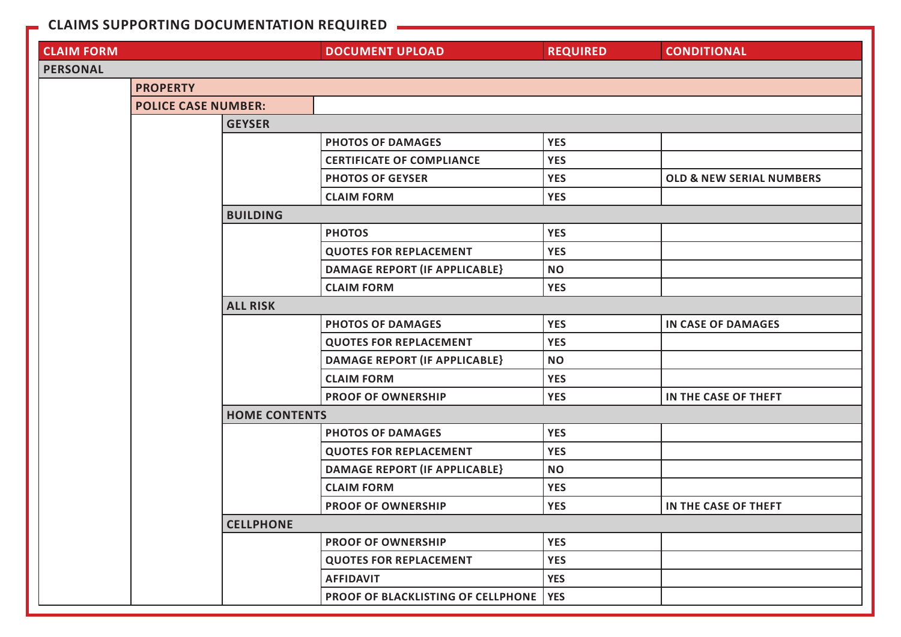## **CLAIMS SUPPORTING DOCUMENTATION REQUIRED**

| <b>CLAIM FORM</b> |                            |                      | <b>DOCUMENT UPLOAD</b>               | <b>REQUIRED</b> | <b>CONDITIONAL</b>                  |  |  |  |
|-------------------|----------------------------|----------------------|--------------------------------------|-----------------|-------------------------------------|--|--|--|
| <b>PERSONAL</b>   |                            |                      |                                      |                 |                                     |  |  |  |
|                   | <b>PROPERTY</b>            |                      |                                      |                 |                                     |  |  |  |
|                   | <b>POLICE CASE NUMBER:</b> |                      |                                      |                 |                                     |  |  |  |
|                   |                            | <b>GEYSER</b>        |                                      |                 |                                     |  |  |  |
|                   |                            |                      | <b>PHOTOS OF DAMAGES</b>             | <b>YES</b>      |                                     |  |  |  |
|                   |                            |                      | <b>CERTIFICATE OF COMPLIANCE</b>     | <b>YES</b>      |                                     |  |  |  |
|                   |                            |                      | <b>PHOTOS OF GEYSER</b>              | <b>YES</b>      | <b>OLD &amp; NEW SERIAL NUMBERS</b> |  |  |  |
|                   |                            |                      | <b>CLAIM FORM</b>                    | <b>YES</b>      |                                     |  |  |  |
|                   |                            | <b>BUILDING</b>      |                                      |                 |                                     |  |  |  |
|                   |                            |                      | <b>PHOTOS</b>                        | <b>YES</b>      |                                     |  |  |  |
|                   |                            |                      | <b>QUOTES FOR REPLACEMENT</b>        | <b>YES</b>      |                                     |  |  |  |
|                   |                            |                      | <b>DAMAGE REPORT (IF APPLICABLE)</b> | <b>NO</b>       |                                     |  |  |  |
|                   |                            |                      | <b>CLAIM FORM</b>                    | <b>YES</b>      |                                     |  |  |  |
|                   |                            | <b>ALL RISK</b>      |                                      |                 |                                     |  |  |  |
|                   |                            |                      | <b>PHOTOS OF DAMAGES</b>             | <b>YES</b>      | <b>IN CASE OF DAMAGES</b>           |  |  |  |
|                   |                            |                      | <b>QUOTES FOR REPLACEMENT</b>        | <b>YES</b>      |                                     |  |  |  |
|                   |                            |                      | <b>DAMAGE REPORT (IF APPLICABLE)</b> | <b>NO</b>       |                                     |  |  |  |
|                   |                            |                      | <b>CLAIM FORM</b>                    | <b>YES</b>      |                                     |  |  |  |
|                   |                            |                      | <b>PROOF OF OWNERSHIP</b>            | <b>YES</b>      | IN THE CASE OF THEFT                |  |  |  |
|                   |                            | <b>HOME CONTENTS</b> |                                      |                 |                                     |  |  |  |
|                   |                            |                      | <b>PHOTOS OF DAMAGES</b>             | <b>YES</b>      |                                     |  |  |  |
|                   |                            |                      | <b>QUOTES FOR REPLACEMENT</b>        | <b>YES</b>      |                                     |  |  |  |
|                   |                            |                      | <b>DAMAGE REPORT (IF APPLICABLE)</b> | <b>NO</b>       |                                     |  |  |  |
|                   |                            |                      | <b>CLAIM FORM</b>                    | <b>YES</b>      |                                     |  |  |  |
|                   |                            |                      | <b>PROOF OF OWNERSHIP</b>            | <b>YES</b>      | IN THE CASE OF THEFT                |  |  |  |
|                   |                            | <b>CELLPHONE</b>     |                                      |                 |                                     |  |  |  |
|                   |                            |                      | <b>PROOF OF OWNERSHIP</b>            | <b>YES</b>      |                                     |  |  |  |
|                   |                            |                      | <b>QUOTES FOR REPLACEMENT</b>        | <b>YES</b>      |                                     |  |  |  |
|                   |                            |                      | <b>AFFIDAVIT</b>                     | <b>YES</b>      |                                     |  |  |  |
|                   |                            |                      | PROOF OF BLACKLISTING OF CELLPHONE   | <b>YES</b>      |                                     |  |  |  |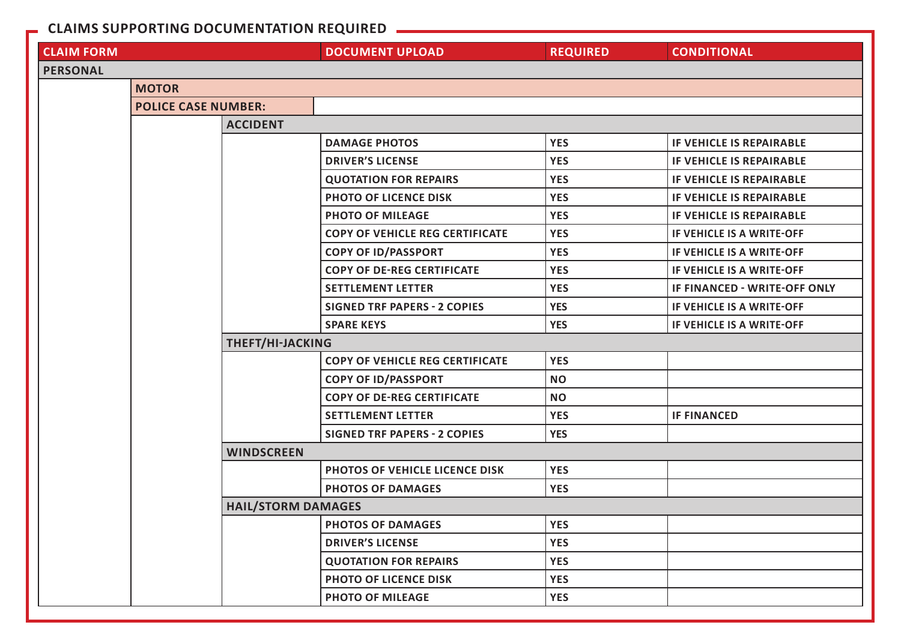## **CLAIMS SUPPORTING DOCUMENTATION REQUIRED**

| <b>CLAIM FORM</b> |                            |                           | <b>DOCUMENT UPLOAD</b>                 | <b>REQUIRED</b> | <b>CONDITIONAL</b>              |  |  |
|-------------------|----------------------------|---------------------------|----------------------------------------|-----------------|---------------------------------|--|--|
| <b>PERSONAL</b>   |                            |                           |                                        |                 |                                 |  |  |
|                   | <b>MOTOR</b>               |                           |                                        |                 |                                 |  |  |
|                   | <b>POLICE CASE NUMBER:</b> |                           |                                        |                 |                                 |  |  |
|                   |                            | <b>ACCIDENT</b>           |                                        |                 |                                 |  |  |
|                   |                            |                           | <b>DAMAGE PHOTOS</b>                   | <b>YES</b>      | <b>IF VEHICLE IS REPAIRABLE</b> |  |  |
|                   |                            |                           | <b>DRIVER'S LICENSE</b>                | <b>YES</b>      | IF VEHICLE IS REPAIRABLE        |  |  |
|                   |                            |                           | <b>QUOTATION FOR REPAIRS</b>           | <b>YES</b>      | <b>IF VEHICLE IS REPAIRABLE</b> |  |  |
|                   |                            |                           | PHOTO OF LICENCE DISK                  | <b>YES</b>      | IF VEHICLE IS REPAIRABLE        |  |  |
|                   |                            |                           | <b>PHOTO OF MILEAGE</b>                | <b>YES</b>      | IF VEHICLE IS REPAIRABLE        |  |  |
|                   |                            |                           | <b>COPY OF VEHICLE REG CERTIFICATE</b> | <b>YES</b>      | IF VEHICLE IS A WRITE-OFF       |  |  |
|                   |                            |                           | <b>COPY OF ID/PASSPORT</b>             | <b>YES</b>      | IF VEHICLE IS A WRITE-OFF       |  |  |
|                   |                            |                           | <b>COPY OF DE-REG CERTIFICATE</b>      | <b>YES</b>      | IF VEHICLE IS A WRITE-OFF       |  |  |
|                   |                            |                           | <b>SETTLEMENT LETTER</b>               | <b>YES</b>      | IF FINANCED - WRITE-OFF ONLY    |  |  |
|                   |                            |                           | <b>SIGNED TRF PAPERS - 2 COPIES</b>    | <b>YES</b>      | IF VEHICLE IS A WRITE-OFF       |  |  |
|                   |                            |                           | <b>SPARE KEYS</b>                      | <b>YES</b>      | IF VEHICLE IS A WRITE-OFF       |  |  |
|                   |                            | THEFT/HI-JACKING          |                                        |                 |                                 |  |  |
|                   |                            |                           | <b>COPY OF VEHICLE REG CERTIFICATE</b> | <b>YES</b>      |                                 |  |  |
|                   |                            |                           | <b>COPY OF ID/PASSPORT</b>             | <b>NO</b>       |                                 |  |  |
|                   |                            |                           | <b>COPY OF DE-REG CERTIFICATE</b>      | <b>NO</b>       |                                 |  |  |
|                   |                            |                           | <b>SETTLEMENT LETTER</b>               | <b>YES</b>      | <b>IF FINANCED</b>              |  |  |
|                   |                            |                           | <b>SIGNED TRF PAPERS - 2 COPIES</b>    | <b>YES</b>      |                                 |  |  |
|                   |                            | <b>WINDSCREEN</b>         |                                        |                 |                                 |  |  |
|                   |                            |                           | PHOTOS OF VEHICLE LICENCE DISK         | <b>YES</b>      |                                 |  |  |
|                   |                            |                           | <b>PHOTOS OF DAMAGES</b>               | <b>YES</b>      |                                 |  |  |
|                   |                            | <b>HAIL/STORM DAMAGES</b> |                                        |                 |                                 |  |  |
|                   |                            |                           | <b>PHOTOS OF DAMAGES</b>               | <b>YES</b>      |                                 |  |  |
|                   |                            |                           | <b>DRIVER'S LICENSE</b>                | <b>YES</b>      |                                 |  |  |
|                   |                            |                           | <b>QUOTATION FOR REPAIRS</b>           | <b>YES</b>      |                                 |  |  |
|                   |                            |                           | PHOTO OF LICENCE DISK                  | <b>YES</b>      |                                 |  |  |
|                   |                            |                           | <b>PHOTO OF MILEAGE</b>                | <b>YES</b>      |                                 |  |  |